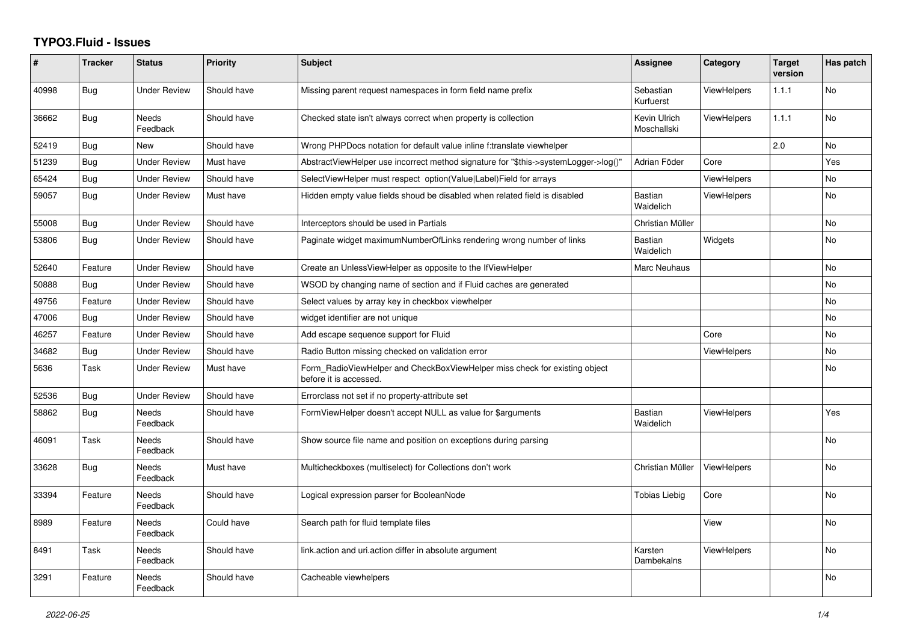## **TYPO3.Fluid - Issues**

| #     | <b>Tracker</b> | <b>Status</b>            | <b>Priority</b> | <b>Subject</b>                                                                                       | Assignee                    | Category           | <b>Target</b><br>version | Has patch      |
|-------|----------------|--------------------------|-----------------|------------------------------------------------------------------------------------------------------|-----------------------------|--------------------|--------------------------|----------------|
| 40998 | Bug            | <b>Under Review</b>      | Should have     | Missing parent request namespaces in form field name prefix                                          | Sebastian<br>Kurfuerst      | <b>ViewHelpers</b> | 1.1.1                    | No             |
| 36662 | <b>Bug</b>     | <b>Needs</b><br>Feedback | Should have     | Checked state isn't always correct when property is collection                                       | Kevin Ulrich<br>Moschallski | <b>ViewHelpers</b> | 1.1.1                    | <b>No</b>      |
| 52419 | <b>Bug</b>     | New                      | Should have     | Wrong PHPDocs notation for default value inline f:translate viewhelper                               |                             |                    | 2.0                      | <b>No</b>      |
| 51239 | <b>Bug</b>     | <b>Under Review</b>      | Must have       | AbstractViewHelper use incorrect method signature for "\$this->systemLogger->log()"                  | Adrian Föder                | Core               |                          | Yes            |
| 65424 | <b>Bug</b>     | Under Review             | Should have     | SelectViewHelper must respect option(Value Label)Field for arrays                                    |                             | <b>ViewHelpers</b> |                          | <b>No</b>      |
| 59057 | Bug            | Under Review             | Must have       | Hidden empty value fields shoud be disabled when related field is disabled                           | Bastian<br>Waidelich        | <b>ViewHelpers</b> |                          | <b>No</b>      |
| 55008 | <b>Bug</b>     | Under Review             | Should have     | Interceptors should be used in Partials                                                              | Christian Müller            |                    |                          | No             |
| 53806 | <b>Bug</b>     | <b>Under Review</b>      | Should have     | Paginate widget maximumNumberOfLinks rendering wrong number of links                                 | <b>Bastian</b><br>Waidelich | Widgets            |                          | N <sub>o</sub> |
| 52640 | Feature        | <b>Under Review</b>      | Should have     | Create an UnlessViewHelper as opposite to the IfViewHelper                                           | Marc Neuhaus                |                    |                          | <b>No</b>      |
| 50888 | Bug            | <b>Under Review</b>      | Should have     | WSOD by changing name of section and if Fluid caches are generated                                   |                             |                    |                          | <b>No</b>      |
| 49756 | Feature        | <b>Under Review</b>      | Should have     | Select values by array key in checkbox viewhelper                                                    |                             |                    |                          | No             |
| 47006 | Bug            | <b>Under Review</b>      | Should have     | widget identifier are not unique                                                                     |                             |                    |                          | <b>No</b>      |
| 46257 | Feature        | <b>Under Review</b>      | Should have     | Add escape sequence support for Fluid                                                                |                             | Core               |                          | No.            |
| 34682 | Bug            | Under Review             | Should have     | Radio Button missing checked on validation error                                                     |                             | <b>ViewHelpers</b> |                          | <b>No</b>      |
| 5636  | Task           | <b>Under Review</b>      | Must have       | Form_RadioViewHelper and CheckBoxViewHelper miss check for existing object<br>before it is accessed. |                             |                    |                          | <b>No</b>      |
| 52536 | <b>Bug</b>     | Under Review             | Should have     | Errorclass not set if no property-attribute set                                                      |                             |                    |                          |                |
| 58862 | <b>Bug</b>     | Needs<br>Feedback        | Should have     | FormViewHelper doesn't accept NULL as value for \$arguments                                          | <b>Bastian</b><br>Waidelich | <b>ViewHelpers</b> |                          | Yes            |
| 46091 | Task           | Needs<br>Feedback        | Should have     | Show source file name and position on exceptions during parsing                                      |                             |                    |                          | <b>No</b>      |
| 33628 | <b>Bug</b>     | Needs<br>Feedback        | Must have       | Multicheckboxes (multiselect) for Collections don't work                                             | Christian Müller            | <b>ViewHelpers</b> |                          | <b>No</b>      |
| 33394 | Feature        | Needs<br>Feedback        | Should have     | Logical expression parser for BooleanNode                                                            | <b>Tobias Liebig</b>        | Core               |                          | <b>No</b>      |
| 8989  | Feature        | Needs<br>Feedback        | Could have      | Search path for fluid template files                                                                 |                             | View               |                          | <b>No</b>      |
| 8491  | Task           | Needs<br>Feedback        | Should have     | link.action and uri.action differ in absolute argument                                               | Karsten<br>Dambekalns       | <b>ViewHelpers</b> |                          | No             |
| 3291  | Feature        | Needs<br>Feedback        | Should have     | Cacheable viewhelpers                                                                                |                             |                    |                          | <b>No</b>      |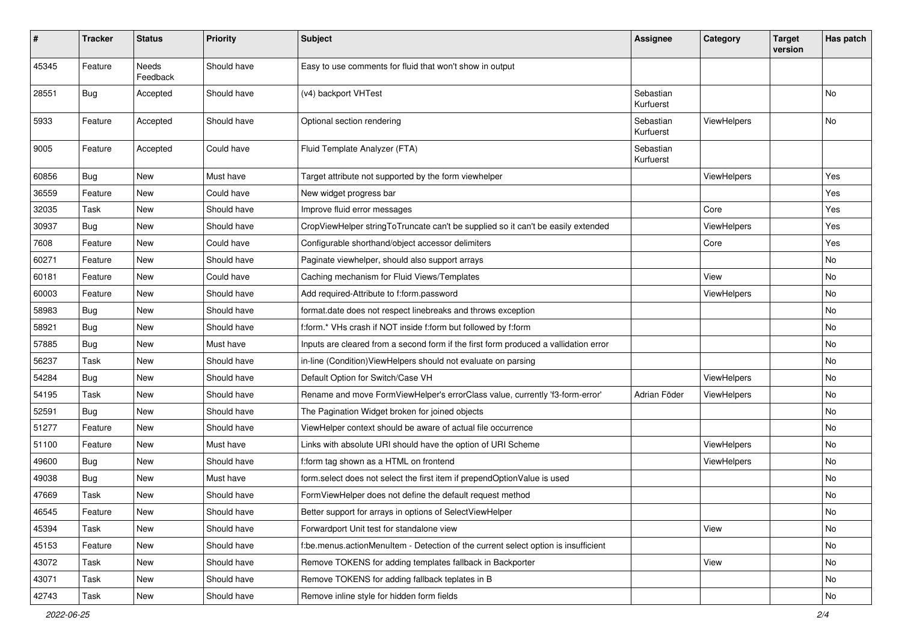| $\pmb{\#}$ | <b>Tracker</b> | <b>Status</b>     | <b>Priority</b> | Subject                                                                              | Assignee               | Category           | <b>Target</b><br>version | Has patch |
|------------|----------------|-------------------|-----------------|--------------------------------------------------------------------------------------|------------------------|--------------------|--------------------------|-----------|
| 45345      | Feature        | Needs<br>Feedback | Should have     | Easy to use comments for fluid that won't show in output                             |                        |                    |                          |           |
| 28551      | Bug            | Accepted          | Should have     | (v4) backport VHTest                                                                 | Sebastian<br>Kurfuerst |                    |                          | No        |
| 5933       | Feature        | Accepted          | Should have     | Optional section rendering                                                           | Sebastian<br>Kurfuerst | ViewHelpers        |                          | No        |
| 9005       | Feature        | Accepted          | Could have      | Fluid Template Analyzer (FTA)                                                        | Sebastian<br>Kurfuerst |                    |                          |           |
| 60856      | Bug            | New               | Must have       | Target attribute not supported by the form viewhelper                                |                        | <b>ViewHelpers</b> |                          | Yes       |
| 36559      | Feature        | New               | Could have      | New widget progress bar                                                              |                        |                    |                          | Yes       |
| 32035      | Task           | New               | Should have     | Improve fluid error messages                                                         |                        | Core               |                          | Yes       |
| 30937      | Bug            | New               | Should have     | CropViewHelper stringToTruncate can't be supplied so it can't be easily extended     |                        | <b>ViewHelpers</b> |                          | Yes       |
| 7608       | Feature        | New               | Could have      | Configurable shorthand/object accessor delimiters                                    |                        | Core               |                          | Yes       |
| 60271      | Feature        | New               | Should have     | Paginate viewhelper, should also support arrays                                      |                        |                    |                          | No        |
| 60181      | Feature        | New               | Could have      | Caching mechanism for Fluid Views/Templates                                          |                        | View               |                          | No        |
| 60003      | Feature        | New               | Should have     | Add required-Attribute to f:form.password                                            |                        | <b>ViewHelpers</b> |                          | No        |
| 58983      | Bug            | New               | Should have     | format.date does not respect linebreaks and throws exception                         |                        |                    |                          | No        |
| 58921      | Bug            | New               | Should have     | f:form.* VHs crash if NOT inside f:form but followed by f:form                       |                        |                    |                          | No        |
| 57885      | Bug            | New               | Must have       | Inputs are cleared from a second form if the first form produced a vallidation error |                        |                    |                          | No        |
| 56237      | Task           | New               | Should have     | in-line (Condition) ViewHelpers should not evaluate on parsing                       |                        |                    |                          | No        |
| 54284      | Bug            | New               | Should have     | Default Option for Switch/Case VH                                                    |                        | ViewHelpers        |                          | No        |
| 54195      | Task           | New               | Should have     | Rename and move FormViewHelper's errorClass value, currently 'f3-form-error'         | Adrian Föder           | ViewHelpers        |                          | No        |
| 52591      | Bug            | New               | Should have     | The Pagination Widget broken for joined objects                                      |                        |                    |                          | No        |
| 51277      | Feature        | New               | Should have     | ViewHelper context should be aware of actual file occurrence                         |                        |                    |                          | No        |
| 51100      | Feature        | New               | Must have       | Links with absolute URI should have the option of URI Scheme                         |                        | ViewHelpers        |                          | No        |
| 49600      | Bug            | New               | Should have     | f:form tag shown as a HTML on frontend                                               |                        | <b>ViewHelpers</b> |                          | No        |
| 49038      | <b>Bug</b>     | New               | Must have       | form.select does not select the first item if prependOptionValue is used             |                        |                    |                          | No        |
| 47669      | Task           | New               | Should have     | FormViewHelper does not define the default request method                            |                        |                    |                          | No        |
| 46545      | Feature        | New               | Should have     | Better support for arrays in options of SelectViewHelper                             |                        |                    |                          | INO.      |
| 45394      | Task           | New               | Should have     | Forwardport Unit test for standalone view                                            |                        | View               |                          | No        |
| 45153      | Feature        | New               | Should have     | f:be.menus.actionMenuItem - Detection of the current select option is insufficient   |                        |                    |                          | No        |
| 43072      | Task           | New               | Should have     | Remove TOKENS for adding templates fallback in Backporter                            |                        | View               |                          | No        |
| 43071      | Task           | New               | Should have     | Remove TOKENS for adding fallback teplates in B                                      |                        |                    |                          | No        |
| 42743      | Task           | New               | Should have     | Remove inline style for hidden form fields                                           |                        |                    |                          | No        |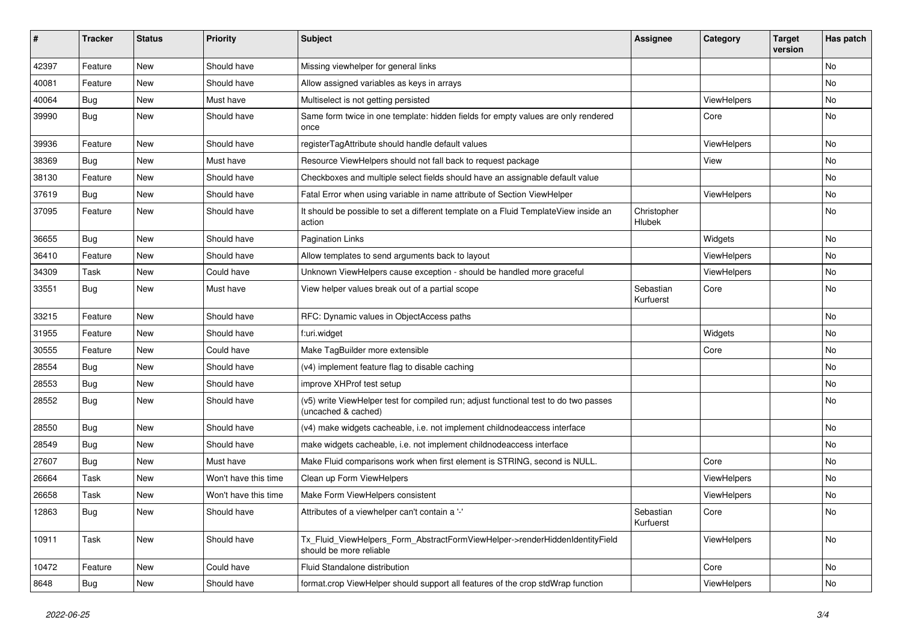| #     | <b>Tracker</b> | <b>Status</b> | <b>Priority</b>      | <b>Subject</b>                                                                                              | Assignee               | Category    | <b>Target</b><br>version | Has patch |
|-------|----------------|---------------|----------------------|-------------------------------------------------------------------------------------------------------------|------------------------|-------------|--------------------------|-----------|
| 42397 | Feature        | New           | Should have          | Missing viewhelper for general links                                                                        |                        |             |                          | <b>No</b> |
| 40081 | Feature        | New           | Should have          | Allow assigned variables as keys in arrays                                                                  |                        |             |                          | No        |
| 40064 | Bug            | <b>New</b>    | Must have            | Multiselect is not getting persisted                                                                        |                        | ViewHelpers |                          | <b>No</b> |
| 39990 | Bug            | New           | Should have          | Same form twice in one template: hidden fields for empty values are only rendered<br>once                   |                        | Core        |                          | No        |
| 39936 | Feature        | <b>New</b>    | Should have          | registerTagAttribute should handle default values                                                           |                        | ViewHelpers |                          | No        |
| 38369 | <b>Bug</b>     | New           | Must have            | Resource ViewHelpers should not fall back to request package                                                |                        | View        |                          | No        |
| 38130 | Feature        | New           | Should have          | Checkboxes and multiple select fields should have an assignable default value                               |                        |             |                          | No        |
| 37619 | <b>Bug</b>     | New           | Should have          | Fatal Error when using variable in name attribute of Section ViewHelper                                     |                        | ViewHelpers |                          | No        |
| 37095 | Feature        | New           | Should have          | It should be possible to set a different template on a Fluid TemplateView inside an<br>action               | Christopher<br>Hlubek  |             |                          | No        |
| 36655 | Bug            | New           | Should have          | <b>Pagination Links</b>                                                                                     |                        | Widgets     |                          | No        |
| 36410 | Feature        | New           | Should have          | Allow templates to send arguments back to layout                                                            |                        | ViewHelpers |                          | <b>No</b> |
| 34309 | Task           | New           | Could have           | Unknown ViewHelpers cause exception - should be handled more graceful                                       |                        | ViewHelpers |                          | No        |
| 33551 | Bug            | New           | Must have            | View helper values break out of a partial scope                                                             | Sebastian<br>Kurfuerst | Core        |                          | No        |
| 33215 | Feature        | New           | Should have          | RFC: Dynamic values in ObjectAccess paths                                                                   |                        |             |                          | No        |
| 31955 | Feature        | New           | Should have          | f:uri.widget                                                                                                |                        | Widgets     |                          | No        |
| 30555 | Feature        | New           | Could have           | Make TagBuilder more extensible                                                                             |                        | Core        |                          | <b>No</b> |
| 28554 | <b>Bug</b>     | New           | Should have          | (v4) implement feature flag to disable caching                                                              |                        |             |                          | No        |
| 28553 | <b>Bug</b>     | New           | Should have          | improve XHProf test setup                                                                                   |                        |             |                          | No        |
| 28552 | Bug            | New           | Should have          | (v5) write ViewHelper test for compiled run; adjust functional test to do two passes<br>(uncached & cached) |                        |             |                          | <b>No</b> |
| 28550 | <b>Bug</b>     | New           | Should have          | (v4) make widgets cacheable, i.e. not implement childnodeaccess interface                                   |                        |             |                          | <b>No</b> |
| 28549 | <b>Bug</b>     | New           | Should have          | make widgets cacheable, i.e. not implement childnodeaccess interface                                        |                        |             |                          | No        |
| 27607 | <b>Bug</b>     | New           | Must have            | Make Fluid comparisons work when first element is STRING, second is NULL.                                   |                        | Core        |                          | No        |
| 26664 | Task           | New           | Won't have this time | Clean up Form ViewHelpers                                                                                   |                        | ViewHelpers |                          | No        |
| 26658 | Task           | New           | Won't have this time | Make Form ViewHelpers consistent                                                                            |                        | ViewHelpers |                          | No        |
| 12863 | Bug            | New           | Should have          | Attributes of a viewhelper can't contain a '-'                                                              | Sebastian<br>Kurfuerst | Core        |                          | No        |
| 10911 | Task           | New           | Should have          | Tx_Fluid_ViewHelpers_Form_AbstractFormViewHelper->renderHiddenIdentityField<br>should be more reliable      |                        | ViewHelpers |                          | No        |
| 10472 | Feature        | New           | Could have           | Fluid Standalone distribution                                                                               |                        | Core        |                          | No        |
| 8648  | <b>Bug</b>     | New           | Should have          | format.crop ViewHelper should support all features of the crop stdWrap function                             |                        | ViewHelpers |                          | No        |